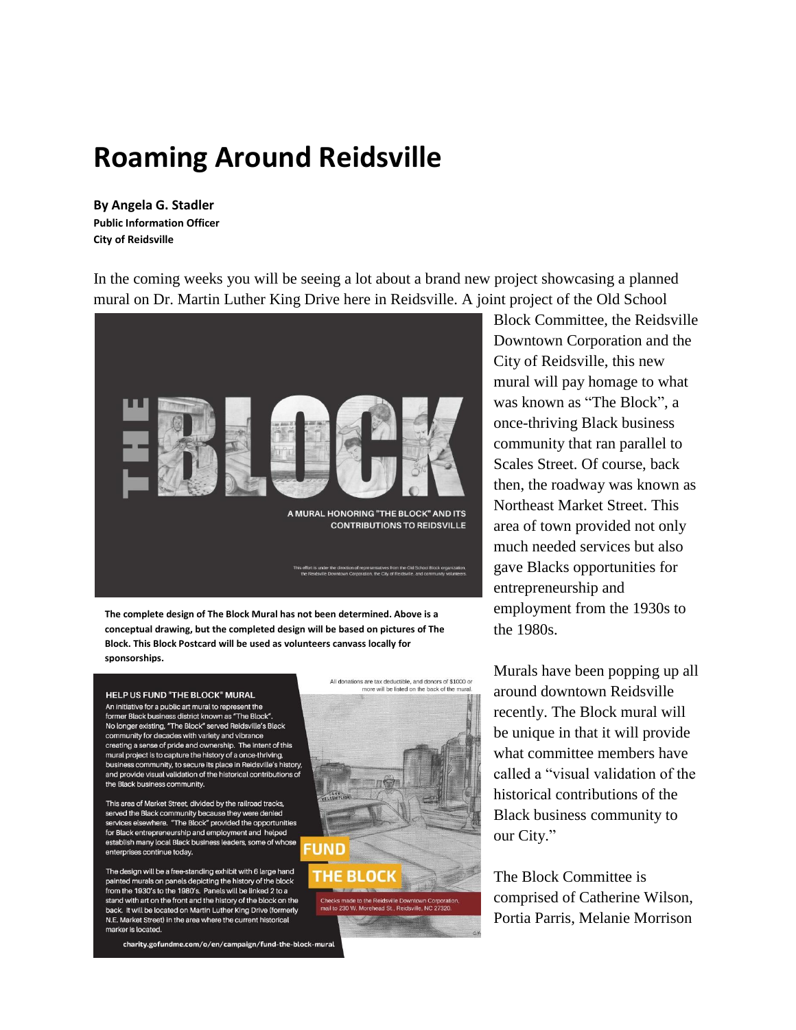## **Roaming Around Reidsville**

**By Angela G. Stadler Public Information Officer City of Reidsville**

In the coming weeks you will be seeing a lot about a brand new project showcasing a planned mural on Dr. Martin Luther King Drive here in Reidsville. A joint project of the Old School



**The complete design of The Block Mural has not been determined. Above is a conceptual drawing, but the completed design will be based on pictures of The Block. This Block Postcard will be used as volunteers canvass locally for sponsorships.**

## **HELP US FUND "THE BLOCK" MURAL**

An initiative for a public art mural to represent the former Black business district known as "The Block" No longer existing, "The Block" served Reidsville's Black community for decades with variety and vibrance creating a sense of pride and ownership. The intent of this mural project is to capture the history of a once-thriving, business community, to secure its place in Reidsville's history, and provide visual validation of the historical contributions of the Black business community.

This area of Market Street, divided by the railroad tracks, served the Black community because they were denied services elsewhere. "The Block" provided the opportunities for Black entrepreneurship and employment and helped establish many local Black business leaders, some of whose enterprises continue today.

The design will be a free-standing exhibit with 6 large hand painted murals on panels depicting the history of the block from the 1930's to the 1980's. Panels will be linked 2 to a stand with art on the front and the history of the block on the back. It will be located on Martin Luther King Drive (formerly N.E. Market Street) in the area where the current historical marker is located

charity.gofundme.com/o/en/campaign/fund-the-block-mural



Block Committee, the Reidsville Downtown Corporation and the City of Reidsville, this new mural will pay homage to what was known as "The Block", a once-thriving Black business community that ran parallel to Scales Street. Of course, back then, the roadway was known as Northeast Market Street. This area of town provided not only much needed services but also gave Blacks opportunities for entrepreneurship and employment from the 1930s to the 1980s.

Murals have been popping up all around downtown Reidsville recently. The Block mural will be unique in that it will provide what committee members have called a "visual validation of the historical contributions of the Black business community to our City."

The Block Committee is comprised of Catherine Wilson, Portia Parris, Melanie Morrison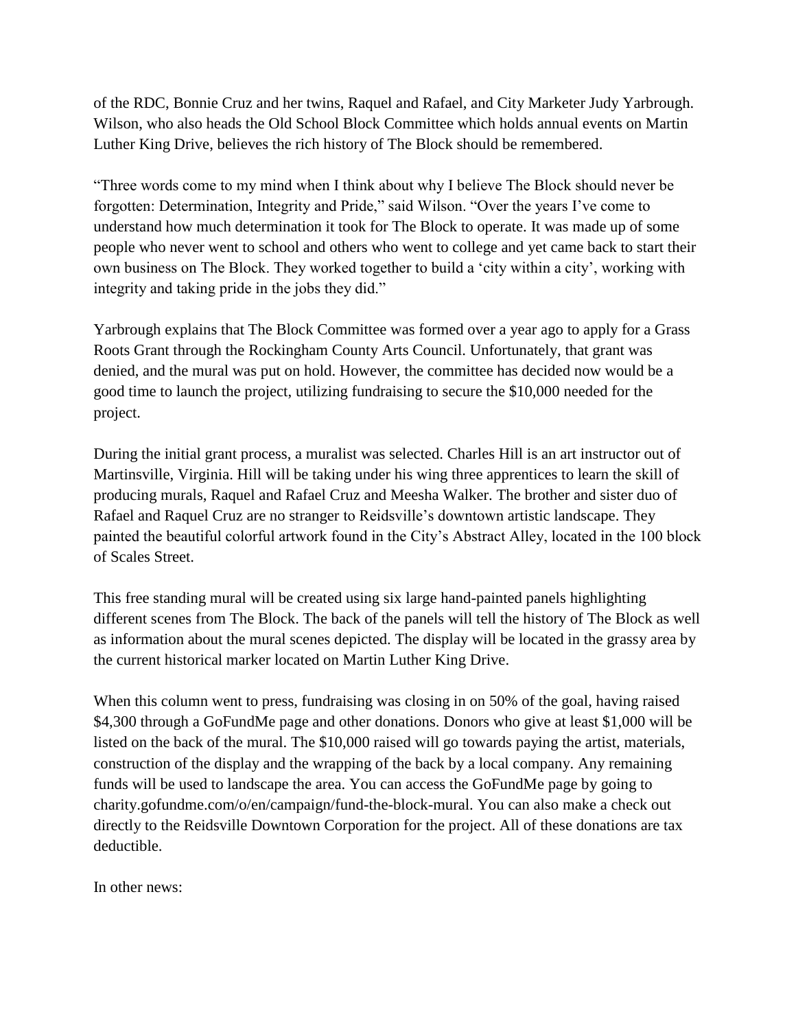of the RDC, Bonnie Cruz and her twins, Raquel and Rafael, and City Marketer Judy Yarbrough. Wilson, who also heads the Old School Block Committee which holds annual events on Martin Luther King Drive, believes the rich history of The Block should be remembered.

"Three words come to my mind when I think about why I believe The Block should never be forgotten: Determination, Integrity and Pride," said Wilson. "Over the years I've come to understand how much determination it took for The Block to operate. It was made up of some people who never went to school and others who went to college and yet came back to start their own business on The Block. They worked together to build a 'city within a city', working with integrity and taking pride in the jobs they did."

Yarbrough explains that The Block Committee was formed over a year ago to apply for a Grass Roots Grant through the Rockingham County Arts Council. Unfortunately, that grant was denied, and the mural was put on hold. However, the committee has decided now would be a good time to launch the project, utilizing fundraising to secure the \$10,000 needed for the project.

During the initial grant process, a muralist was selected. Charles Hill is an art instructor out of Martinsville, Virginia. Hill will be taking under his wing three apprentices to learn the skill of producing murals, Raquel and Rafael Cruz and Meesha Walker. The brother and sister duo of Rafael and Raquel Cruz are no stranger to Reidsville's downtown artistic landscape. They painted the beautiful colorful artwork found in the City's Abstract Alley, located in the 100 block of Scales Street.

This free standing mural will be created using six large hand-painted panels highlighting different scenes from The Block. The back of the panels will tell the history of The Block as well as information about the mural scenes depicted. The display will be located in the grassy area by the current historical marker located on Martin Luther King Drive.

When this column went to press, fundraising was closing in on 50% of the goal, having raised \$4,300 through a GoFundMe page and other donations. Donors who give at least \$1,000 will be listed on the back of the mural. The \$10,000 raised will go towards paying the artist, materials, construction of the display and the wrapping of the back by a local company. Any remaining funds will be used to landscape the area. You can access the GoFundMe page by going to charity.gofundme.com/o/en/campaign/fund-the-block-mural. You can also make a check out directly to the Reidsville Downtown Corporation for the project. All of these donations are tax deductible.

In other news: